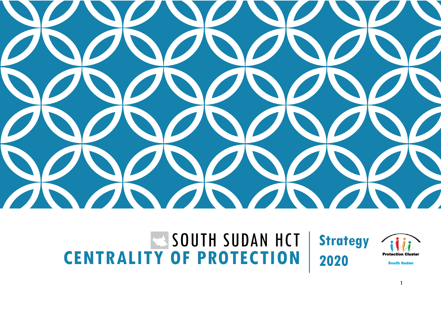

#### SOUTH SUDAN HCT **CENTRALITY OF PROTECTION Strategy 2020**



South Sudan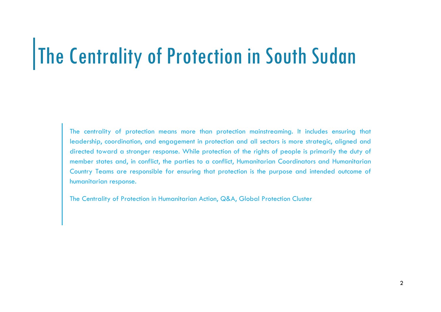### The Centrality of Protection in South Sudan

The centrality of protection means more than protection mainstreaming. It includes ensuring that leadership, coordination, and engagement in protection and all sectors is more strategic, aligned and directed toward a stronger response. While protection of the rights of people is primarily the duty of member states and, in conflict, the parties to a conflict, Humanitarian Coordinators and Humanitarian Country Teams are responsible for ensuring that protection is the purpose and intended outcome of humanitarian response.

The Centrality of Protection in Humanitarian Action, Q&A, Global Protection Cluster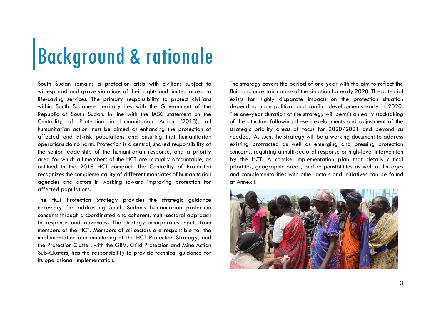### Background & rationale

South Sudan remains a protection crisis with civilians subject to widespread and arave violations of their rights and limited access to life-saving services. The primary responsibility to protect civilians within South Sudanese territory lies with the Government of the Republic of South Sudan. In line with the IASC statement on the Centrality of Protection in Humanitarian Action (2013), all humanitarian action must be aimed at enhancing the protection of affected and at-risk populations and ensuring that humanitarian operations do no harm. Protection is a central, shared responsibility of the senior leadership of the humanitarian response, and a priority area for which all members of the HCT are mutually accountable, as outlined in the 2018 HCT compact. The Centrality of Protection recognizes the complementarity of different mandates of humanitarian agencies and actors in working toward improving protection for affected populations.

The HCT Protection Strategy provides the strategic guidance necessary for addressing South Sudan's humanitarian protection concerns through a coordinated and coherent, multi-sectoral approach to response and advocacy. The strategy incorporates inputs from members of the HCT. Members of all sectors are responsible for the implementation and monitoring of the HCT Protection Strategy, and the Protection Cluster, with the GBV, Child Protection and Mine Action Sub-Clusters, has the responsibility to provide technical guidance for its operational implementation.

The strategy covers the period of one year with the aim to reflect the fluid and uncertain nature of the situation for early 2020. The potential exists for highly disparate impacts on the protection situation depending upon political and conflict developments early in 2020. The one-year duration of the strategy will permit an early stocktaking of the situation following these developments and adjustment of the strategic priority areas of focus for 2020/2021 and beyond as needed. As such, the strategy will be a working document to address existing protracted as well as emerging and pressing protection concerns, requiring a multi-sectoral response or high-level intervention by the HCT. A concise implementation plan that details critical priorities, geographic areas, and responsibilities as well as linkages and complementarities with other actors and initiatives can be found at Annex I.

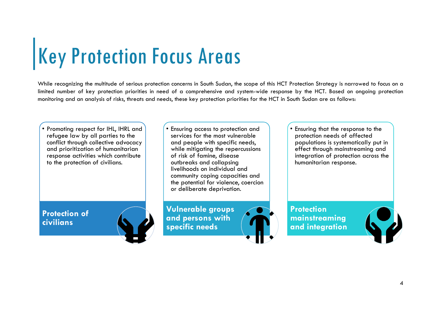# Key Protection Focus Areas

While recognizing the multitude of serious protection concerns in South Sudan, the scope of this HCT Protection Strategy is narrowed to focus on a limited number of key protection priorities in need of a comprehensive and system-wide response by the HCT. Based on ongoing protection monitoring and an analysis of risks, threats and needs, these key protection priorities for the HCT in South Sudan are as follows:

• Promoting respect for IHL, IHRL and refugee law by all parties to the conflict through collective advocacy and prioritization of humanitarian response activities which contribute to the protection of civilians.

**Protection of civilians**



• Ensuring access to protection and services for the most vulnerable and people with specific needs, while mitigating the repercussions of risk of famine, disease outbreaks and collapsing livelihoods on individual and community coping capacities and the potential for violence, coercion or deliberate deprivation.

**Vulnerable groups and persons with specific needs**



• Ensuring that the response to the protection needs of affected populations is systematically put in effect through mainstreaming and integration of protection across the humanitarian response.

**Protection mainstreaming and integration**

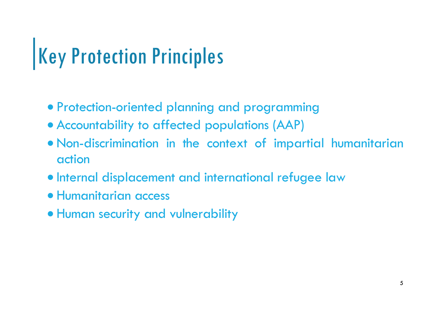### Key Protection Principles

- Protection-oriented planning and programming
- Accountability to affected populations (AAP)
- Non-discrimination in the context of impartial humanitarian action
- **Internal displacement and international refugee law**
- Humanitarian access
- Human security and vulnerability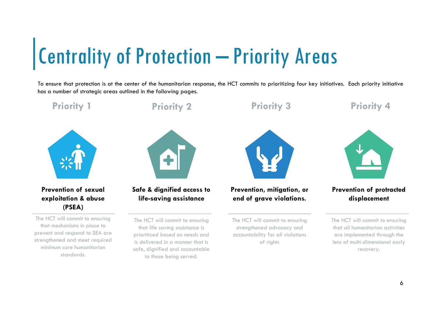### Centrality of Protection – Priority Areas

To ensure that protection is at the center of the humanitarian response, the HCT commits to prioritizing four key initiatives. Each priority initiative has a number of strategic areas outlined in the following pages.

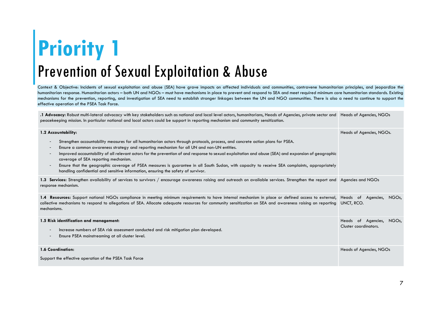#### **Priority 1** Prevention of Sexual Exploitation & Abuse

Context & Objective: Incidents of sexual exploitation and abuse (SEA) have grave impacts on affected individuals and communities, contravene humanitarian principles, and jeopardize the humanitarian response. Humanitarian actors – both UN and NGOs – must have mechanisms in place to prevent and respond to SEA and meet required minimum core humanitarian standards. Existing mechanisms for the prevention, reporting, and investigation of SEA need to establish stronger linkages between the UN and NGO communities. There is also a need to continue to support the effective operation of the PSEA Task Force.

**.1 Advocacy:** Robust multi-lateral advocacy with key stakeholders such as national and local level actors, humanitarians, Heads of Agencies, private sector and Heads of Agencies, NGOs peacekeeping mission. In particular national and local actors could be support in reporting mechanism and community sensitization.

| 1.2 Accountability:                                                                                                                                                                                                                                                                                                                                                                                                                                                                                                                                                                                                                                                                                                                                                               | Heads of Agencies, NGOs.                          |
|-----------------------------------------------------------------------------------------------------------------------------------------------------------------------------------------------------------------------------------------------------------------------------------------------------------------------------------------------------------------------------------------------------------------------------------------------------------------------------------------------------------------------------------------------------------------------------------------------------------------------------------------------------------------------------------------------------------------------------------------------------------------------------------|---------------------------------------------------|
| Strengthen accountability measures for all humanitarian actors through protocols, process, and concrete action plans for PSEA.<br>$\overline{\phantom{a}}$<br>Ensure a common awareness strategy and reporting mechanism for all UN and non-UN entities.<br>$\overline{\phantom{a}}$<br>Improved accountability of all relevant actors for the prevention of and response to sexual exploitation and abuse (SEA) and expansion of geographic<br>$\overline{\phantom{a}}$<br>coverage of SEA reporting mechanism.<br>Ensure that the geographic coverage of PSEA measures is guarantee in all South Sudan, with capacity to receive SEA complaints, appropriately<br>$\overline{\phantom{a}}$<br>handling confidential and sensitive information, ensuring the safety of survivor. |                                                   |
| 1.3 Services: Strengthen availability of services to survivors / encourage awareness raising and outreach on available services. Strengthen the report and Agencies and NGOs<br>response mechanism.                                                                                                                                                                                                                                                                                                                                                                                                                                                                                                                                                                               |                                                   |
| 1.4 Resources: Support national NGOs compliance in meeting minimum requirements to have internal mechanism in place or defined access to external, Heads of Agencies, NGOs,<br>collective mechanisms to respond to allegations of SEA. Allocate adequate resources for community sensitization on SEA and awareness raising on reporting UNCT, RCO.<br>mechanisms.                                                                                                                                                                                                                                                                                                                                                                                                                |                                                   |
| 1.5 Risk identification and management:<br>Increase numbers of SEA risk assessment conducted and risk mitigation plan developed.<br>$\overline{\phantom{a}}$<br>Ensure PSEA mainstreaming at all cluster level.<br>$\overline{\phantom{a}}$                                                                                                                                                                                                                                                                                                                                                                                                                                                                                                                                       | Heads of Agencies, NGOs,<br>Cluster coordinators. |
| 1.6 Coordination:<br>Support the effective operation of the PSEA Task Force                                                                                                                                                                                                                                                                                                                                                                                                                                                                                                                                                                                                                                                                                                       | Heads of Agencies, NGOs                           |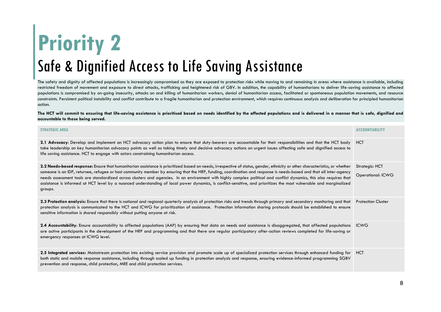### **Priority 2** Safe & Dignified Access to Life Saving Assistance

The safety and dignity of affected populations is increasingly compromised as they are exposed to protection risks while moving to and remaining in areas where assistance is available, including restricted freedom of movement and exposure to direct attacks, trafficking and heightened risk of GBV. In addition, the capability of humanitarians to deliver life-saving assistance to affected populations is compromised by on-going insecurity, attacks on and killing of humanitarian workers, denial of humanitarian access, facilitated or spontaneous population movements, and resource constraints. Persistent political instability and conflict contribute to a fragile humanitarian and protection environment, which requires continuous analysis and deliberation for principled humanitarian action.

The HCT will commit to ensuring that life-saving assistance is prioritised based on needs identified by the affected populations and is delivered in a manner that is safe, dignified and **accountable to those being served.**

| <b>STRATEGIC AREA</b>                                                                                                                                                                                                                                                                                                                                                                                                                                                                                                                                                                                                                                                                                        | <b>ACCOUNTABILITY</b>                      |
|--------------------------------------------------------------------------------------------------------------------------------------------------------------------------------------------------------------------------------------------------------------------------------------------------------------------------------------------------------------------------------------------------------------------------------------------------------------------------------------------------------------------------------------------------------------------------------------------------------------------------------------------------------------------------------------------------------------|--------------------------------------------|
| 2.1 Advocacy: Develop and implement an HCT advocacy action plan to ensure that duty-bearers are accountable for their responsibilities and that the HCT body HCT<br>take leadership on key humanitarian advocacy points as well as taking timely and decisive advocacy actions on urgent issues affecting safe and dignified access to<br>life saving assistance. HCT to engage with actors constraining humanitarian access.                                                                                                                                                                                                                                                                                |                                            |
| 2.2 Needs-based response: Ensure that humanitarian assistance is prioritized based on needs, irrespective of status, gender, ethnicity or other characteristics, or whether<br>someone is an IDP, returnee, refugee or host community member by ensuring that the HRP, funding, coordination and response is needs-based and that all inter-agency<br>needs assessment tools are standardized across clusters and agencies. In an environment with highly complex political and conflict dynamics, this also requires that<br>assistance is informed at HCT level by a nuanced understanding of local power dynamics, is conflict-sensitive, and prioritizes the most vulnerable and marginalized<br>groups. | Strategic: HCT<br><b>Operational: ICWG</b> |
| 2.3 Protection analysis: Ensure that there is national and regional quarterly analysis of protection risks and trends through primary and secondary monitoring and that<br>protection analysis is communicated to the HCT and ICWG for prioritization of assistance. Protection information sharing protocols should be established to ensure<br>sensitive information is shared responsibly without putting anyone at risk.                                                                                                                                                                                                                                                                                 | <b>Protection Cluster</b>                  |
| 2.4 Accountability: Ensure accountability to affected populations (AAP) by ensuring that data on needs and assistance is disaggregated, that affected populations<br>are active participants in the development of the HRP and programming and that there are regular participatory after-action reviews completed for life-saving or<br>emergency responses at ICWG level.                                                                                                                                                                                                                                                                                                                                  | <b>ICWG</b>                                |
| 2.5 Integrated services: Mainstream protection into existing service provision and promote scale up of specialized protection services through enhanced funding for<br>both static and mobile response assistance, including through scaled up funding in protection analysis and response, ensuring evidence-informed programming SGBV<br>prevention and response, child protection, MRE and child protection services.                                                                                                                                                                                                                                                                                     | <b>HCT</b>                                 |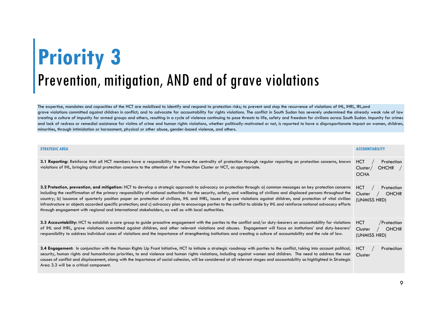#### **Priority 3** Prevention, mitigation, AND end of grave violations

The expertise, mandates and capacities of the HCT are mobilized to identify and respond to protection risks; to prevent and stop the recurrence of violations of IHL, IHRL, IRL,and grave violations committed against children in conflict; and to advocate for accountability for rights violations. The conflict in South Sudan has severely undermined the already weak rule of law creating a culture of impunity for armed groups and others, resulting in a cycle of violence continuing to pose threats to life, safety and freedom for civilians across South Sudan. Impunity for crimes and lack of redress or remedial assistance for victims of crime and human rights violations, whether politically-motivated or not, is reported to have a disproportionate impact on women, children, minorities, through intimidation or harassment, physical or other abuse, gender-based violence, and others.

| <b>STRATEGIC AREA</b>                                                                                                                                                                                                                                                                                                                                                                                                                                                                                                                                                                                                                                                                                                                                                                                           | <b>ACCOUNTABILITY</b>                                                |
|-----------------------------------------------------------------------------------------------------------------------------------------------------------------------------------------------------------------------------------------------------------------------------------------------------------------------------------------------------------------------------------------------------------------------------------------------------------------------------------------------------------------------------------------------------------------------------------------------------------------------------------------------------------------------------------------------------------------------------------------------------------------------------------------------------------------|----------------------------------------------------------------------|
| 3.1 Reporting: Reinforce that all HCT members have a responsibility to ensure the centrality of protection through regular reporting on protection concerns, known<br>violations of IHL, bringing critical protection concerns to the attention of the Protection Cluster or HCT, as appropriate.                                                                                                                                                                                                                                                                                                                                                                                                                                                                                                               | <b>HCT</b><br>Protection<br>$OHCHR$ /<br>Cluster/<br><b>OCHA</b>     |
| 3.2 Protection, prevention, and mitigation: HCT to develop a strategic approach to advocacy on protection through: a) common messages on key protection concerns<br>including the reaffirmation of the primary responsibility of national authorities for the security, safety, and wellbeing of civilians and displaced persons throughout the<br>country; b) issuance of quarterly position paper on protection of civilians, IHL and IHRL, issues of grave violations against children, and protection of vital civilian<br>infrastructure or objects accorded specific protection; and c) advocacy plan to encourage parties to the conflict to abide by IHL and reinforce national advocacy efforts<br>through engagement with regional and international stakeholders, as well as with local authorities. | <b>HCT</b><br>Protection<br><b>OHCHR</b><br>Cluster<br>(UNMISS HRD)  |
| 3.3 Accountability: HCT to establish a core group to guide proactive engagement with the parties to the conflict and/or duty-bearers on accountability for violations<br>of IHL and IHRL, grave violations committed against children, and other relevant violations and abuses. Engagement will focus on institutions' and duty-bearers'<br>responsibility to address individual cases of violations and the importance of strengthening institutions and creating a culture of accountability and the rule of law.                                                                                                                                                                                                                                                                                            | <b>HCT</b><br>/Protection<br><b>OHCHR</b><br>Cluster<br>(UNMISS HRD) |
| 3.4 Engagement: In conjunction with the Human Rights Up Front Initiative, HCT to initiate a strategic roadmap with parties to the conflict, taking into account political,<br>security, human rights and humanitarian priorities, to end violence and human rights violations, including against women and children. The need to address the root<br>causes of conflict and displacement, along with the importance of social cohesion, will be considered at all relevant stages and accountability as highlighted in Strategic<br>Area 3.3 will be a critical component.                                                                                                                                                                                                                                      | <b>HCT</b><br>Protection<br>Cluster                                  |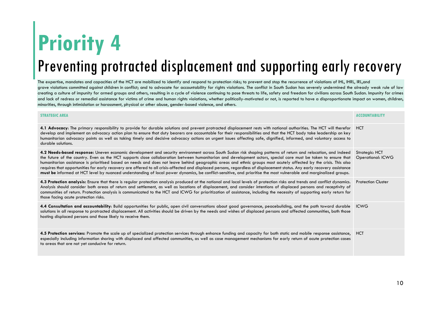#### **Priority 4** Preventing protracted displacement and supporting early recovery

The expertise, mandates and capacities of the HCT are mobilized to identify and respond to protection risks; to prevent and stop the recurrence of violations of IHL, IHRL, IRL,and arave violations committed against children in conflict; and to advocate for accountability for rights violations. The conflict in South Sudan has severely undermined the already weak rule of law creating a culture of impunity for armed groups and others, resulting in a cycle of violence continuing to pose threats to life, safety and freedom for civilians across South Sudan. Impunity for crimes and lack of redress or remedial assistance for victims of crime and human rights violations, whether politically-motivated or not, is reported to have a disproportionate impact on women, children, minorities, through intimidation or harassment, physical or other abuse, gender-based violence, and others.

| <b>STRATEGIC AREA</b>                                                                                                                                                                                                                                                                                                                                                                                                                                                                                                                                                                                                                                                                                                                                                                                                                                  | <b>ACCOUNTABILITY</b>                      |
|--------------------------------------------------------------------------------------------------------------------------------------------------------------------------------------------------------------------------------------------------------------------------------------------------------------------------------------------------------------------------------------------------------------------------------------------------------------------------------------------------------------------------------------------------------------------------------------------------------------------------------------------------------------------------------------------------------------------------------------------------------------------------------------------------------------------------------------------------------|--------------------------------------------|
| 4.1 Advocacy: The primary responsibility to provide for durable solutions and prevent protracted displacement rests with national authorities. The HCT will therefor HCT<br>develop and implement an advocacy action plan to ensure that duty bearers are accountable for their responsibilities and that the HCT body take leadership on key<br>humanitarian advocacy points as well as taking timely and decisive advocacy actions on urgent issues affecting safe, dignified, informed, and voluntary access to<br>durable solutions.                                                                                                                                                                                                                                                                                                               |                                            |
| 4.2 Needs-based response: Uneven economic development and security environment across South Sudan risk shaping patterns of return and relocation, and indeed<br>the future of the country. Even as the HCT supports close collaboration between humanitarian and development actors, special care must be taken to ensure that<br>humanitarian assistance is prioritised based on needs and does not leave behind geographic areas and ethnic groups most acutely affected by the crisis. This also<br>requires that opportunities for early recovery are offered to all crisis-affected and displaced persons, regardless of displacement status. Any early recovery assistance<br>must be informed at HCT level by nuanced understanding of local power dynamics, be conflict-sensitive, and prioritise the most vulnerable and marginalized groups. | Strategic: HCT<br><b>Operational: ICWG</b> |
| 4.3 Protection analysis: Ensure that there is regular protection analysis produced at the national and local levels of protection risks and trends and conflict dynamics.<br>Analysis should consider both areas of return and settlement, as well as locations of displacement, and consider intentions of displaced persons and receptivity of<br>communities of return. Protection analysis is communicated to the HCT and ICWG for prioritization of assistance, including the necessity of supporting early return for<br>those facing acute protection risks.                                                                                                                                                                                                                                                                                    | <b>Protection Cluster</b>                  |
| 4.4 Consultation and accountability: Build opportunities for public, open civil conversations about good governance, peacebuilding, and the path toward durable<br>solutions in all response to protracted displacement. All activities should be driven by the needs and wishes of displaced persons and affected communities, both those<br>hosting displaced persons and those likely to receive them.                                                                                                                                                                                                                                                                                                                                                                                                                                              | <b>ICWG</b>                                |
| 4.5 Protection services: Promote the scale up of specialized protection services through enhance funding and capacity for both static and mobile response assistance,<br>especially including information sharing with displaced and affected communities, as well as case management mechanisms for early return of acute protection cases<br>to areas that are not yet conducive for return.                                                                                                                                                                                                                                                                                                                                                                                                                                                         | <b>HCT</b>                                 |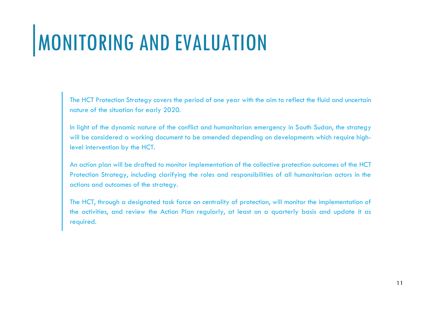## MONITORING AND EVALUATION

The HCT Protection Strategy covers the period of one year with the aim to reflect the fluid and uncertain nature of the situation for early 2020.

In light of the dynamic nature of the conflict and humanitarian emergency in South Sudan, the strategy will be considered a working document to be amended depending on developments which require highlevel intervention by the HCT.

An action plan will be drafted to monitor implementation of the collective protection outcomes of the HCT Protection Strategy, including clarifying the roles and responsibilities of all humanitarian actors in the actions and outcomes of the strategy.

The HCT, through a designated task force on centrality of protection, will monitor the implementation of the activities, and review the Action Plan regularly, at least on a quarterly basis and update it as required.